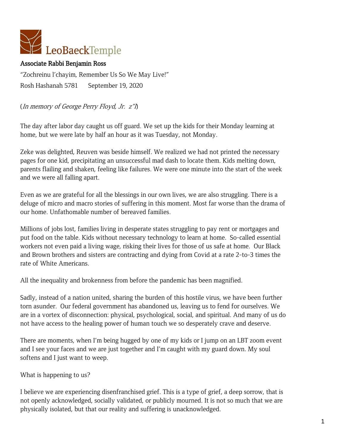

## Associate Rabbi Benjamin Ross

"Zochreinu l'chayim, Remember Us So We May Live!" Rosh Hashanah 5781 September 19, 2020

(In memory of George Perry Floyd, Jr. z"l)

The day after labor day caught us off guard. We set up the kids for their Monday learning at home, but we were late by half an hour as it was Tuesday, not Monday.

Zeke was delighted, Reuven was beside himself. We realized we had not printed the necessary pages for one kid, precipitating an unsuccessful mad dash to locate them. Kids melting down, parents flailing and shaken, feeling like failures. We were one minute into the start of the week and we were all falling apart.

Even as we are grateful for all the blessings in our own lives, we are also struggling. There is a deluge of micro and macro stories of suffering in this moment. Most far worse than the drama of our home. Unfathomable number of bereaved families.

Millions of jobs lost, families living in desperate states struggling to pay rent or mortgages and put food on the table. Kids without necessary technology to learn at home. So-called essential workers not even paid a living wage, risking their lives for those of us safe at home. Our Black and Brown brothers and sisters are contracting and dying from Covid at a rate 2-to-3 times the rate of White Americans.

All the inequality and brokenness from before the pandemic has been magnified.

Sadly, instead of a nation united, sharing the burden of this hostile virus, we have been further torn asunder. Our federal government has abandoned us, leaving us to fend for ourselves. We are in a vortex of disconnection: physical, psychological, social, and spiritual. And many of us do not have access to the healing power of human touch we so desperately crave and deserve.

There are moments, when I'm being hugged by one of my kids or I jump on an LBT zoom event and I see your faces and we are just together and I'm caught with my guard down. My soul softens and I just want to weep.

What is happening to us?

I believe we are experiencing disenfranchised grief. This is a type of grief, a deep sorrow, that is not openly acknowledged, socially validated, or publicly mourned. It is not so much that we are physically isolated, but that our reality and suffering is unacknowledged.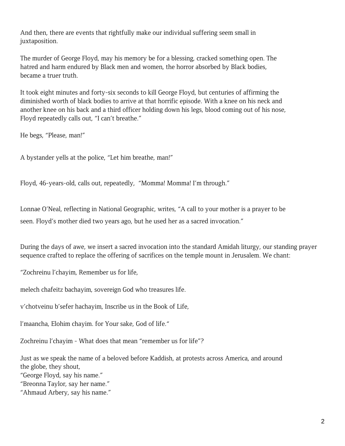And then, there are events that rightfully make our individual suffering seem small in juxtaposition.

The murder of George Floyd, may his memory be for a blessing, cracked something open. The hatred and harm endured by Black men and women, the horror absorbed by Black bodies, became a truer truth.

It took eight minutes and forty-six seconds to kill George Floyd, but centuries of affirming the diminished worth of black bodies to arrive at that horrific episode. With a knee on his neck and another knee on his back and a third officer holding down his legs, blood coming out of his nose, Floyd repeatedly calls out, "I can't breathe."

He begs, "Please, man!"

A bystander yells at the police, "Let him breathe, man!"

Floyd, 46-years-old, calls out, repeatedly, "Momma! Momma! I'm through."

Lonnae O'Neal, reflecting in National Geographic, writes, "A call to your mother is a prayer to be seen. Floyd's mother died two years ago, but he used her as a sacred invocation."

During the days of awe, we insert a sacred invocation into the standard Amidah liturgy, our standing prayer sequence crafted to replace the offering of sacrifices on the temple mount in Jerusalem. We chant:

"Zochreinu l'chayim, Remember us for life,

melech chafeitz bachayim, sovereign God who treasures life.

v'chotveinu b'sefer hachayim, Inscribe us in the Book of Life,

l'maancha, Elohim chayim. for Your sake, God of life."

Zochreinu l'chayim - What does that mean "remember us for life"?

Just as we speak the name of a beloved before Kaddish, at protests across America, and around the globe, they shout,

"George Floyd, say his name."

"Breonna Taylor, say her name."

"Ahmaud Arbery, say his name."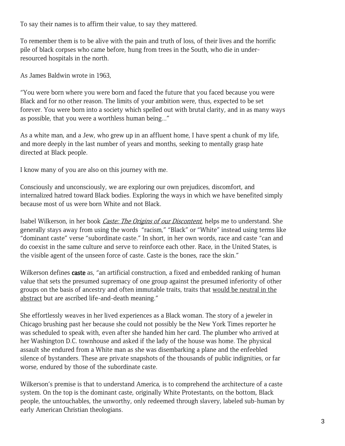To say their names is to affirm their value, to say they mattered.

To remember them is to be alive with the pain and truth of loss, of their lives and the horrific pile of black corpses who came before, hung from trees in the South, who die in underresourced hospitals in the north.

As James Baldwin wrote in 1963,

"You were born where you were born and faced the future that you faced because you were Black and for no other reason. The limits of your ambition were, thus, expected to be set forever. You were born into a society which spelled out with brutal clarity, and in as many ways as possible, that you were a worthless human being..."

As a white man, and a Jew, who grew up in an affluent home, I have spent a chunk of my life, and more deeply in the last number of years and months, seeking to mentally grasp hate directed at Black people.

I know many of you are also on this journey with me.

Consciously and unconsciously, we are exploring our own prejudices, discomfort, and internalized hatred toward Black bodies. Exploring the ways in which we have benefited simply because most of us were born White and not Black.

Isabel Wilkerson, in her book *Caste: The Origins of our Discontent*, helps me to understand. She generally stays away from using the words "racism," "Black" or "White" instead using terms like "dominant caste" verse "subordinate caste." In short, in her own words, race and caste "can and do coexist in the same culture and serve to reinforce each other. Race, in the United States, is the visible agent of the unseen force of caste. Caste is the bones, race the skin."

Wilkerson defines caste as, "an artificial construction, a fixed and embedded ranking of human value that sets the presumed supremacy of one group against the presumed inferiority of other groups on the basis of ancestry and often immutable traits, traits that would be neutral in the abstract but are ascribed life-and-death meaning."

She effortlessly weaves in her lived experiences as a Black woman. The story of a jeweler in Chicago brushing past her because she could not possibly be the New York Times reporter he was scheduled to speak with, even after she handed him her card. The plumber who arrived at her Washington D.C. townhouse and asked if the lady of the house was home. The physical assault she endured from a White man as she was disembarking a plane and the enfeebled silence of bystanders. These are private snapshots of the thousands of public indignities, or far worse, endured by those of the subordinate caste.

Wilkerson's premise is that to understand America, is to comprehend the architecture of a caste system. On the top is the dominant caste, originally White Protestants, on the bottom, Black people, the untouchables, the unworthy, only redeemed through slavery, labeled sub-human by early American Christian theologians.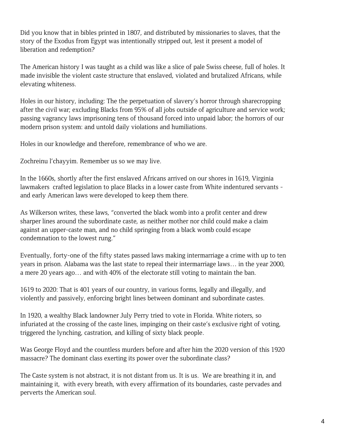Did you know that in bibles printed in 1807, and distributed by missionaries to slaves, that the story of the Exodus from Egypt was intentionally stripped out, lest it present a model of liberation and redemption?

The American history I was taught as a child was like a slice of pale Swiss cheese, full of holes. It made invisible the violent caste structure that enslaved, violated and brutalized Africans, while elevating whiteness.

Holes in our history, including: The the perpetuation of slavery's horror through sharecropping after the civil war; excluding Blacks from 95% of all jobs outside of agriculture and service work; passing vagrancy laws imprisoning tens of thousand forced into unpaid labor; the horrors of our modern prison system: and untold daily violations and humiliations.

Holes in our knowledge and therefore, remembrance of who we are.

Zochreinu l'chayyim. Remember us so we may live.

In the 1660s, shortly after the first enslaved Africans arrived on our shores in 1619, Virginia lawmakers crafted legislation to place Blacks in a lower caste from White indentured servants and early American laws were developed to keep them there.

As Wilkerson writes, these laws, "converted the black womb into a profit center and drew sharper lines around the subordinate caste, as neither mother nor child could make a claim against an upper-caste man, and no child springing from a black womb could escape condemnation to the lowest rung."

Eventually, forty-one of the fifty states passed laws making intermarriage a crime with up to ten years in prison. Alabama was the last state to repeal their intermarriage laws… in the year 2000, a mere 20 years ago… and with 40% of the electorate still voting to maintain the ban.

1619 to 2020: That is 401 years of our country, in various forms, legally and illegally, and violently and passively, enforcing bright lines between dominant and subordinate castes.

In 1920, a wealthy Black landowner July Perry tried to vote in Florida. White rioters, so infuriated at the crossing of the caste lines, impinging on their caste's exclusive right of voting, triggered the lynching, castration, and killing of sixty black people.

Was George Floyd and the countless murders before and after him the 2020 version of this 1920 massacre? The dominant class exerting its power over the subordinate class?

The Caste system is not abstract, it is not distant from us. It is us. We are breathing it in, and maintaining it, with every breath, with every affirmation of its boundaries, caste pervades and perverts the American soul.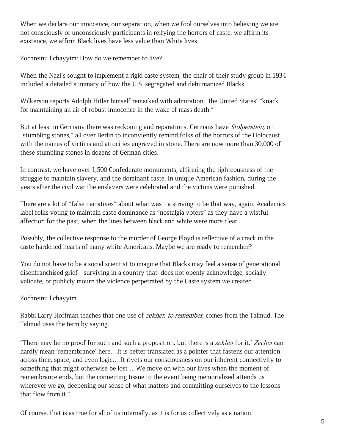When we declare our innocence, our separation, when we fool ourselves into believing we are not consciously or unconsciously participants in reifying the horrors of caste, we affirm its existence, we affirm Black lives have less value than White lives.

Zochreinu l'chayyim: How do we remember to live?

When the Nazi's sought to implement a rigid caste system, the chair of their study group in 1934 included a detailed summary of how the U.S. segregated and dehumanized Blacks.

Wilkerson reports Adolph Hitler himself remarked with admiration, the United States' "knack for maintaining an air of robust innocence in the wake of mass death."

But at least in Germany there was reckoning and reparations. Germans have *Stolperstein*, or "stumbling stones," all over Berlin to inconviently remind folks of the horrors of the Holocaust with the names of victims and atrocities engraved in stone. There are now more than 30,000 of these stumbling stones in dozens of German cities.

In contrast, we have over 1,500 Confederate monuments, affirming the righteousness of the struggle to maintain slavery, and the dominant caste. In unique American fashion, during the years after the civil war the enslavers were celebrated and the victims were punished.

There are a lot of "false narratives" about what was - a striving to be that way, again. Academics label folks voting to maintain caste dominance as "nostalgia voters" as they have a wistful affection for the past, when the lines between black and white were more clear.

Possibly, the collective response to the murder of George Floyd is reflective of a crack in the caste hardened hearts of many white Americans. Maybe we are ready to remember?

You do not have to be a social scientist to imagine that Blacks may feel a sense of generational disenfranchised grief - surviving in a country that does not openly acknowledge, socially validate, or publicly mourn the violence perpetrated by the Caste system we created.

## Zochreinu l'chayyim

Rabbi Larry Hoffman teaches that one use of *zekher, to remember*, comes from the Talmud. The Talmud uses the term by saying,

"There may be no proof for such and such a proposition, but there is a zekher for it.' Zecher can hardly mean 'remembrance' here…It is better translated as a pointer that fastens our attention across time, space, and even logic….It rivets our consciousness on our inherent connectivity to something that might otherwise be lost …We move on with our lives when the moment of remembrance ends, but the connecting tissue to the event being memorialized attends us wherever we go, deepening our sense of what matters and committing ourselves to the lessons that flow from it."

Of course, that is as true for all of us internally, as it is for us collectively as a nation.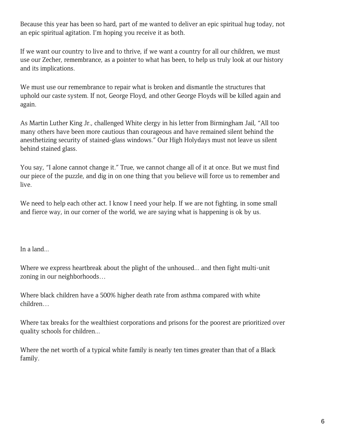Because this year has been so hard, part of me wanted to deliver an epic spiritual hug today, not an epic spiritual agitation. I'm hoping you receive it as both.

If we want our country to live and to thrive, if we want a country for all our children, we must use our Zecher, remembrance, as a pointer to what has been, to help us truly look at our history and its implications.

We must use our remembrance to repair what is broken and dismantle the structures that uphold our caste system. If not, George Floyd, and other George Floyds will be killed again and again.

As Martin Luther King Jr., challenged White clergy in his letter from Birmingham Jail, "All too many others have been more cautious than courageous and have remained silent behind the anesthetizing security of stained-glass windows." Our High Holydays must not leave us silent behind stained glass.

You say, "I alone cannot change it." True, we cannot change all of it at once. But we must find our piece of the puzzle, and dig in on one thing that you believe will force us to remember and live.

We need to help each other act. I know I need your help. If we are not fighting, in some small and fierce way, in our corner of the world, we are saying what is happening is ok by us.

In a land...

Where we express heartbreak about the plight of the unhoused... and then fight multi-unit zoning in our neighborhoods…

Where black children have a 500% higher death rate from asthma compared with white children…

Where tax breaks for the wealthiest corporations and prisons for the poorest are prioritized over quality schools for children...

Where the net worth of a typical white family is nearly ten times greater than that of a Black family.